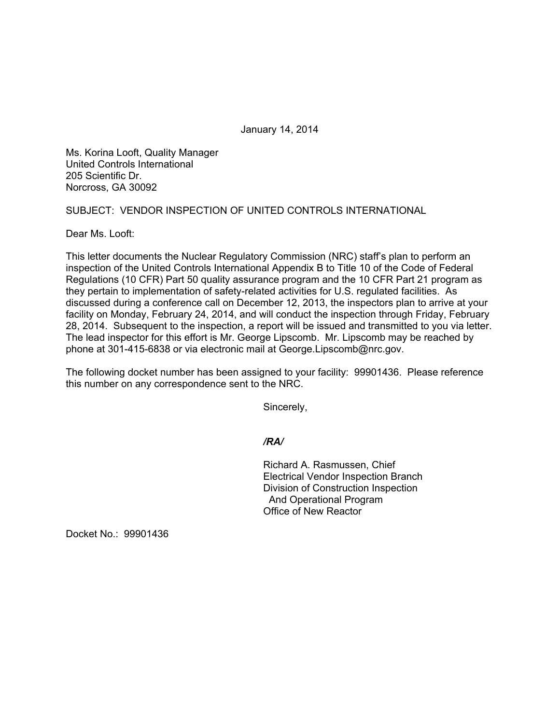January 14, 2014

Ms. Korina Looft, Quality Manager United Controls International 205 Scientific Dr. Norcross, GA 30092

SUBJECT: VENDOR INSPECTION OF UNITED CONTROLS INTERNATIONAL

Dear Ms. Looft:

This letter documents the Nuclear Regulatory Commission (NRC) staff's plan to perform an inspection of the United Controls International Appendix B to Title 10 of the Code of Federal Regulations (10 CFR) Part 50 quality assurance program and the 10 CFR Part 21 program as they pertain to implementation of safety-related activities for U.S. regulated facilities. As discussed during a conference call on December 12, 2013, the inspectors plan to arrive at your facility on Monday, February 24, 2014, and will conduct the inspection through Friday, February 28, 2014. Subsequent to the inspection, a report will be issued and transmitted to you via letter. The lead inspector for this effort is Mr. George Lipscomb. Mr. Lipscomb may be reached by phone at 301-415-6838 or via electronic mail at George.Lipscomb@nrc.gov.

The following docket number has been assigned to your facility: 99901436. Please reference this number on any correspondence sent to the NRC.

Sincerely,

## */RA/*

Richard A. Rasmussen, Chief Electrical Vendor Inspection Branch Division of Construction Inspection And Operational Program Office of New Reactor

Docket No.: 99901436